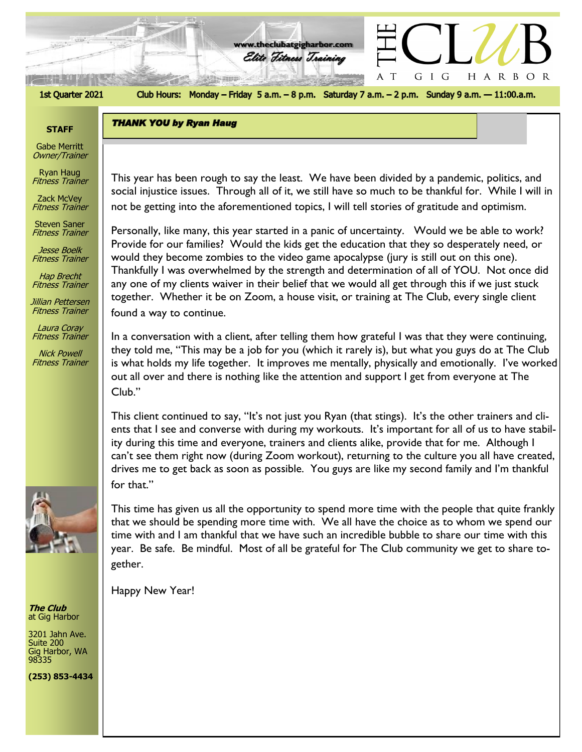

**THANK YOU by Ryan Haug** 

الموقع 7 منطقيني

Club Hours: Monday - Friday 5 a.m. - 8 p.m. Saturday 7 a.m. - 2 p.m. Sunday 9 a.m. - 11:00.a.m.

A  $\top$  HARBOR

GIG

**www.theclubatgigharbor.com**

Elite Fitness Training

## **STAFF**

Gabe Merritt Owner/Trainer

Ryan Haug Fitness Trainer

Zack McVey Fitness Trainer

Steven Saner Fitness Trainer

Jesse Boelk Fitness Trainer

Hap Brecht Fitness Trainer

Jillian Pettersen Fitness Trainer

Laura Coray Fitness Trainer

Nick Powell Fitness Trainer



**The Club** at Gig Harbor

3201 Jahn Ave. Suite 200 Gig Harbor, WA 98335

**(253) 853-4434**

This year has been rough to say the least. We have been divided by a pandemic, politics, and<br>The State of The Clubbe of the Clubbe of the Clubbe of the Clubbe of the Clubbe of the Clubbe of the Clubbe of t social injustice issues. Through all of it, we still have so much to be thankful for. While I will in not be getting into the aforementioned topics, I will tell stories of gratitude and optimism.

Personally, like many, this year started in a panic of uncertainty. Would we be able to work? Provide for our families? Would the kids get the education that they so desperately need, or would they become zombies to the video game apocalypse (jury is still out on this one). Thankfully I was overwhelmed by the strength and determination of all of YOU. Not once did any one of my clients waiver in their belief that we would all get through this if we just stuck together. Whether it be on Zoom, a house visit, or training at The Club, every single client found a way to continue.

In a conversation with a client, after telling them how grateful I was that they were continuing, they told me, "This may be a job for you (which it rarely is), but what you guys do at The Club is what holds my life together. It improves me mentally, physically and emotionally. I've worked out all over and there is nothing like the attention and support I get from everyone at The Club."

This client continued to say, "It's not just you Ryan (that stings). It's the other trainers and clients that I see and converse with during my workouts. It's important for all of us to have stability during this time and everyone, trainers and clients alike, provide that for me. Although I can't see them right now (during Zoom workout), returning to the culture you all have created, drives me to get back as soon as possible. You guys are like my second family and I'm thankful for that."

This time has given us all the opportunity to spend more time with the people that quite frankly that we should be spending more time with. We all have the choice as to whom we spend our time with and I am thankful that we have such an incredible bubble to share our time with this year. Be safe. Be mindful. Most of all be grateful for The Club community we get to share together.

Happy New Year!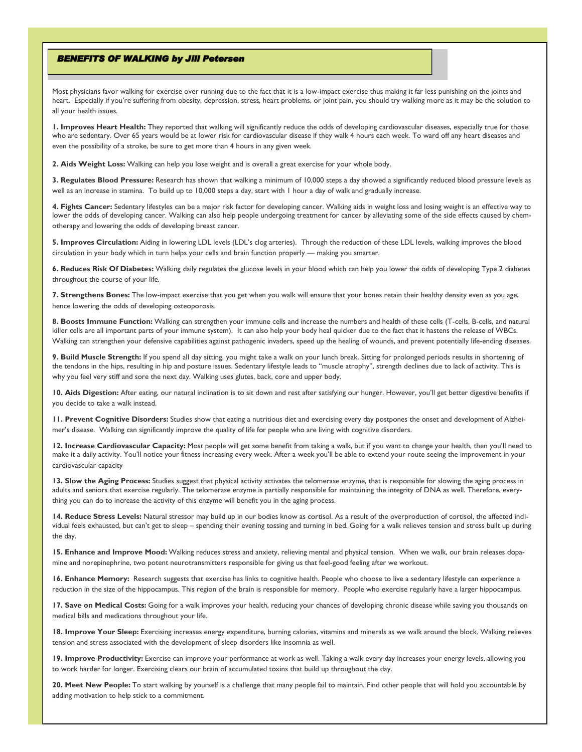## **BENEFITS OF WALKING by Jill Petersen**

Most physicians favor walking for exercise over running due to the fact that it is a low-impact exercise thus making it far less punishing on the joints and heart. Especially if you're suffering from obesity, depression, stress, heart problems, or joint pain, you should try walking more as it may be the solution to all your health issues.

**1. Improves Heart Health:** They reported that walking will significantly reduce the odds of developing cardiovascular diseases, especially true for those who are sedentary. Over 65 years would be at lower risk for cardiovascular disease if they walk 4 hours each week. To ward off any heart diseases and even the possibility of a stroke, be sure to get more than 4 hours in any given week.

**2. Aids Weight Loss:** Walking can help you lose weight and is overall a great exercise for your whole body.

**3. Regulates Blood Pressure:** Research has shown that walking a minimum of 10,000 steps a day showed a significantly reduced blood pressure levels as well as an increase in stamina. To build up to 10,000 steps a day, start with 1 hour a day of walk and gradually increase.

**4. Fights Cancer:** Sedentary lifestyles can be a major risk factor for developing cancer. Walking aids in weight loss and losing weight is an effective way to lower the odds of developing cancer. Walking can also help people undergoing treatment for cancer by alleviating some of the side effects caused by chemotherapy and lowering the odds of developing breast cancer.

**5. Improves Circulation:** Aiding in lowering LDL levels (LDL's clog arteries). Through the reduction of these LDL levels, walking improves the blood circulation in your body which in turn helps your cells and brain function properly — making you smarter.

**6. Reduces Risk Of Diabetes:** Walking daily regulates the glucose levels in your blood which can help you lower the odds of developing Type 2 diabetes throughout the course of your life.

**7. Strengthens Bones:** The low-impact exercise that you get when you walk will ensure that your bones retain their healthy density even as you age, hence lowering the odds of developing osteoporosis.

**8. Boosts Immune Function:** Walking can strengthen your immune cells and increase the numbers and health of these cells (T-cells, B-cells, and natural killer cells are all important parts of your immune system). It can also help your body heal quicker due to the fact that it hastens the release of WBCs. Walking can strengthen your defensive capabilities against pathogenic invaders, speed up the healing of wounds, and prevent potentially life-ending diseases.

**9. Build Muscle Strength:** If you spend all day sitting, you might take a walk on your lunch break. Sitting for prolonged periods results in shortening of the tendons in the hips, resulting in hip and posture issues. Sedentary lifestyle leads to "muscle atrophy", strength declines due to lack of activity. This is why you feel very stiff and sore the next day. Walking uses glutes, back, core and upper body.

10. Aids Digestion: After eating, our natural inclination is to sit down and rest after satisfying our hunger. However, you'll get better digestive benefits if you decide to take a walk instead.

**11. Prevent Cognitive Disorders:** Studies show that eating a nutritious diet and exercising every day postpones the onset and development of Alzheimer's disease. Walking can significantly improve the quality of life for people who are living with cognitive disorders.

**12. Increase Cardiovascular Capacity:** Most people will get some benefit from taking a walk, but if you want to change your health, then you'll need to make it a daily activity. You'll notice your fitness increasing every week. After a week you'll be able to extend your route seeing the improvement in your cardiovascular capacity

13. Slow the Aging Process: Studies suggest that physical activity activates the telomerase enzyme, that is responsible for slowing the aging process in adults and seniors that exercise regularly. The telomerase enzyme is partially responsible for maintaining the integrity of DNA as well. Therefore, everything you can do to increase the activity of this enzyme will benefit you in the aging process.

**14. Reduce Stress Levels:** Natural stressor may build up in our bodies know as cortisol. As a result of the overproduction of cortisol, the affected individual feels exhausted, but can't get to sleep – spending their evening tossing and turning in bed. Going for a walk relieves tension and stress built up during the day.

**15. Enhance and Improve Mood:** Walking reduces stress and anxiety, relieving mental and physical tension. When we walk, our brain releases dopamine and norepinephrine, two potent neurotransmitters responsible for giving us that feel-good feeling after we workout.

16. Enhance Memory: Research suggests that exercise has links to cognitive health. People who choose to live a sedentary lifestyle can experience a reduction in the size of the hippocampus. This region of the brain is responsible for memory. People who exercise regularly have a larger hippocampus.

17. Save on Medical Costs: Going for a walk improves your health, reducing your chances of developing chronic disease while saving you thousands on medical bills and medications throughout your life.

**18. Improve Your Sleep:** Exercising increases energy expenditure, burning calories, vitamins and minerals as we walk around the block. Walking relieves tension and stress associated with the development of sleep disorders like insomnia as well.

19. Improve Productivity: Exercise can improve your performance at work as well. Taking a walk every day increases your energy levels, allowing you to work harder for longer. Exercising clears our brain of accumulated toxins that build up throughout the day.

**20. Meet New People:** To start walking by yourself is a challenge that many people fail to maintain. Find other people that will hold you accountable by adding motivation to help stick to a commitment.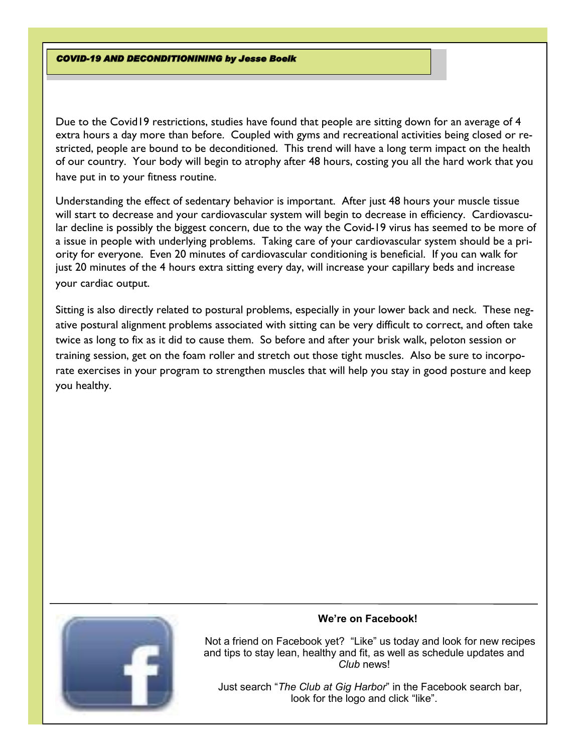**COVID-19 AND DECONDITIONINING by Jesse Boelk** 

Due to the Covid19 restrictions, studies have found that people are sitting down for an average of 4 extra hours a day more than before. Coupled with gyms and recreational activities being closed or restricted, people are bound to be deconditioned. This trend will have a long term impact on the health of our country. Your body will begin to atrophy after 48 hours, costing you all the hard work that you have put in to your fitness routine.

Understanding the effect of sedentary behavior is important. After just 48 hours your muscle tissue will start to decrease and your cardiovascular system will begin to decrease in efficiency. Cardiovascular decline is possibly the biggest concern, due to the way the Covid-19 virus has seemed to be more of a issue in people with underlying problems. Taking care of your cardiovascular system should be a priority for everyone. Even 20 minutes of cardiovascular conditioning is beneficial. If you can walk for just 20 minutes of the 4 hours extra sitting every day, will increase your capillary beds and increase your cardiac output.

Sitting is also directly related to postural problems, especially in your lower back and neck. These negative postural alignment problems associated with sitting can be very difficult to correct, and often take twice as long to fix as it did to cause them. So before and after your brisk walk, peloton session or training session, get on the foam roller and stretch out those tight muscles. Also be sure to incorporate exercises in your program to strengthen muscles that will help you stay in good posture and keep you healthy.



## **We're on Facebook!**

 Not a friend on Facebook yet? "Like" us today and look for new recipes and tips to stay lean, healthy and fit, as well as schedule updates and *Club* news!

 Just search "*The Club at Gig Harbor*" in the Facebook search bar, look for the logo and click "like".